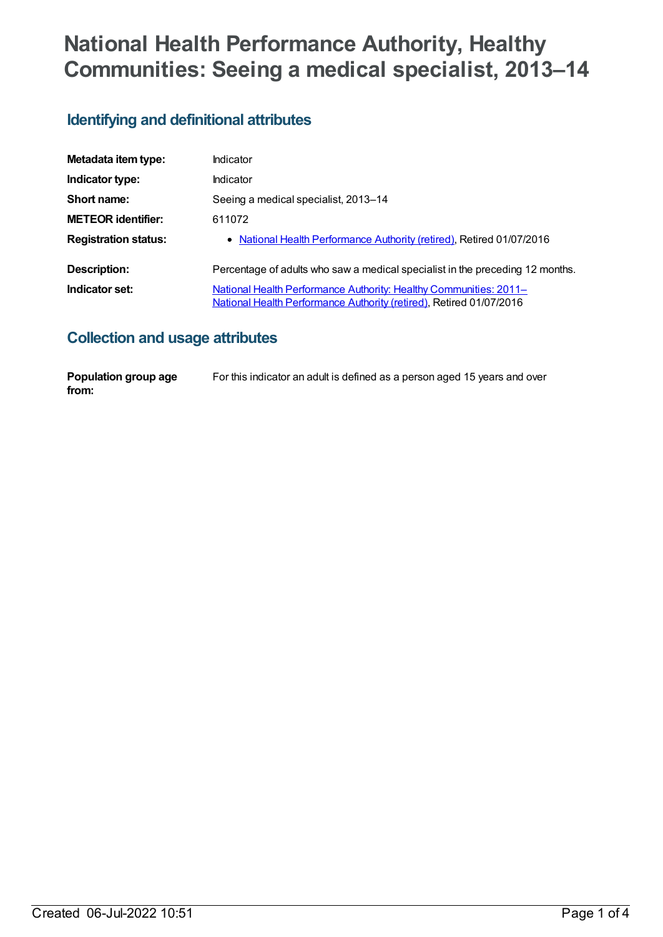# **National Health Performance Authority, Healthy Communities: Seeing a medical specialist, 2013–14**

## **Identifying and definitional attributes**

| Metadata item type:         | Indicator                                                                                                                                |
|-----------------------------|------------------------------------------------------------------------------------------------------------------------------------------|
| Indicator type:             | Indicator                                                                                                                                |
| Short name:                 | Seeing a medical specialist, 2013-14                                                                                                     |
| <b>METEOR identifier:</b>   | 611072                                                                                                                                   |
| <b>Registration status:</b> | • National Health Performance Authority (retired), Retired 01/07/2016                                                                    |
| Description:                | Percentage of adults who saw a medical specialist in the preceding 12 months.                                                            |
| Indicator set:              | National Health Performance Authority: Healthy Communities: 2011-<br>National Health Performance Authority (retired), Retired 01/07/2016 |

## **Collection and usage attributes**

| Population group age | For this indicator an adult is defined as a person aged 15 years and over |
|----------------------|---------------------------------------------------------------------------|
| from:                |                                                                           |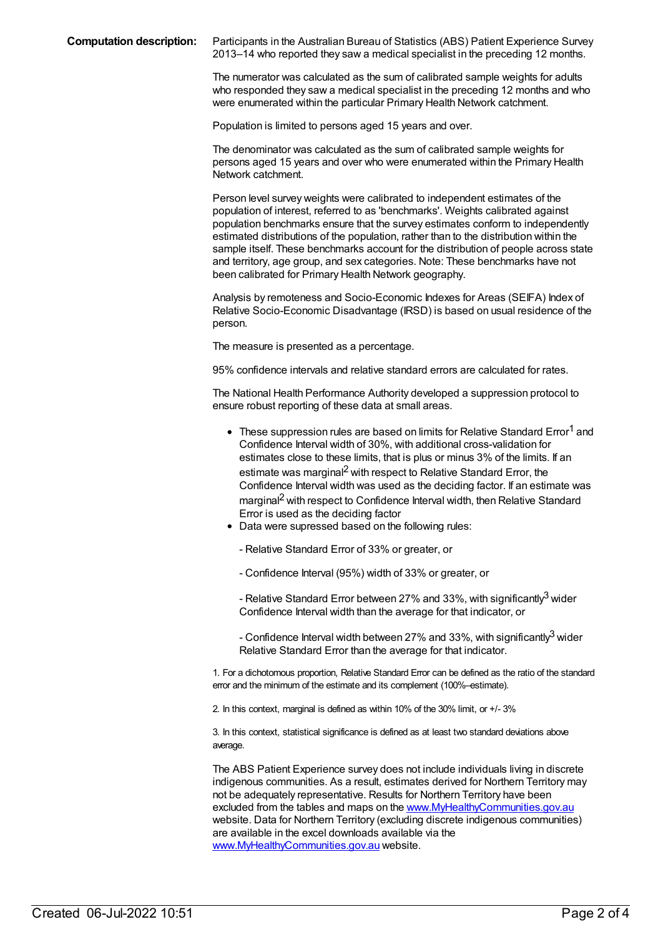**Computation description:** Participants in the Australian Bureau of Statistics (ABS) Patient Experience Survey 2013–14 who reported they saw a medical specialist in the preceding 12 months.

> The numerator was calculated as the sum of calibrated sample weights for adults who responded they saw a medical specialist in the preceding 12 months and who were enumerated within the particular Primary Health Network catchment.

Population is limited to persons aged 15 years and over.

The denominator was calculated as the sum of calibrated sample weights for persons aged 15 years and over who were enumerated within the Primary Health Network catchment.

Person level survey weights were calibrated to independent estimates of the population of interest, referred to as 'benchmarks'. Weights calibrated against population benchmarks ensure that the survey estimates conform to independently estimated distributions of the population, rather than to the distribution within the sample itself. These benchmarks account for the distribution of people across state and territory, age group, and sex categories. Note: These benchmarks have not been calibrated for Primary Health Network geography.

Analysis by remoteness and Socio-Economic Indexes for Areas (SEIFA) Index of Relative Socio-Economic Disadvantage (IRSD) is based on usual residence of the person.

The measure is presented as a percentage.

95% confidence intervals and relative standard errors are calculated for rates.

The National Health Performance Authority developed a suppression protocol to ensure robust reporting of these data at small areas.

- $\bullet$  These suppression rules are based on limits for Relative Standard Error<sup>1</sup> and Confidence Interval width of 30%, with additional cross-validation for estimates close to these limits, that is plus or minus 3% of the limits. If an estimate was marginal<sup>2</sup> with respect to Relative Standard Error, the Confidence Interval width was used as the deciding factor. If an estimate was marginal<sup>2</sup> with respect to Confidence Interval width, then Relative Standard Error is used as the deciding factor
- Data were supressed based on the following rules:
	- Relative Standard Error of 33% or greater, or
	- Confidence Interval (95%) width of 33% or greater, or

- Relative Standard Error between 27% and 33%, with significantly $^3$  wider Confidence Interval width than the average for that indicator, or

- Confidence Interval width between 27% and 33%, with significantly $^3$  wider Relative Standard Error than the average for that indicator.

1. For a dichotomous proportion, Relative Standard Error can be defined as the ratio of the standard error and the minimum of the estimate and its complement (100%–estimate).

2. In this context, marginal is defined as within 10% of the 30% limit, or +/- 3%

3. In this context, statistical significance is defined as at least two standard deviations above average.

The ABS Patient Experience survey does not include individuals living in discrete indigenous communities. As a result, estimates derived for Northern Territory may not be adequately representative. Results for Northern Territory have been excluded from the tables and maps on the [www.MyHealthyCommunities.gov.au](http://www.myhealthycommunities.gov.au) website. Data for Northern Territory (excluding discrete indigenous communities) are available in the excel downloads available via the [www.MyHealthyCommunities.gov.au](http://www.myhealthycommunities.gov.au) website.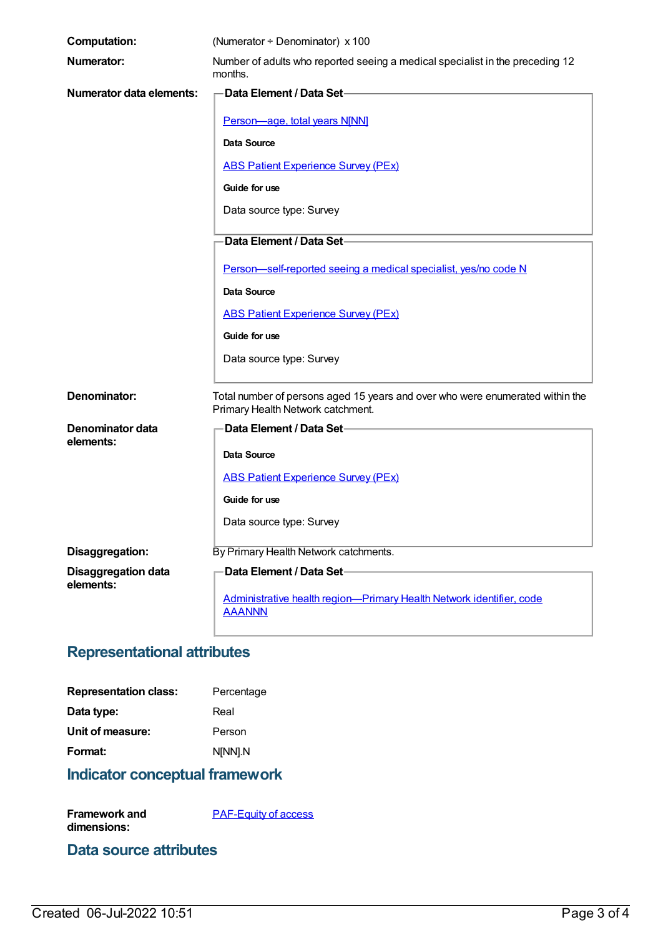| <b>Computation:</b>                     | (Numerator ÷ Denominator) x 100                                                                                    |  |
|-----------------------------------------|--------------------------------------------------------------------------------------------------------------------|--|
| <b>Numerator:</b>                       | Number of adults who reported seeing a medical specialist in the preceding 12<br>months.                           |  |
| <b>Numerator data elements:</b>         | <b>Data Element / Data Set-</b>                                                                                    |  |
|                                         | Person-age, total years N[NN]                                                                                      |  |
|                                         | <b>Data Source</b>                                                                                                 |  |
|                                         | <b>ABS Patient Experience Survey (PEx)</b>                                                                         |  |
|                                         | Guide for use                                                                                                      |  |
|                                         | Data source type: Survey                                                                                           |  |
|                                         | Data Element / Data Set-                                                                                           |  |
|                                         | Person-self-reported seeing a medical specialist, yes/no code N                                                    |  |
|                                         | <b>Data Source</b>                                                                                                 |  |
|                                         | <b>ABS Patient Experience Survey (PEx)</b>                                                                         |  |
|                                         | Guide for use                                                                                                      |  |
|                                         | Data source type: Survey                                                                                           |  |
| Denominator:                            | Total number of persons aged 15 years and over who were enumerated within the<br>Primary Health Network catchment. |  |
| Denominator data                        | Data Element / Data Set-                                                                                           |  |
| elements:                               | <b>Data Source</b>                                                                                                 |  |
|                                         | <b>ABS Patient Experience Survey (PEx)</b>                                                                         |  |
|                                         | Guide for use                                                                                                      |  |
|                                         | Data source type: Survey                                                                                           |  |
| Disaggregation:                         | By Primary Health Network catchments.                                                                              |  |
| <b>Disaggregation data</b><br>elements: | Data Element / Data Set-                                                                                           |  |
|                                         | Administrative health region-Primary Health Network identifier, code<br><b>AAANNN</b>                              |  |

## **Representational attributes**

| Percentage |
|------------|
| Real       |
| Person     |
| N[NN].N    |
|            |

## **Indicator conceptual framework**

**Framework and dimensions:** [PAF-Equity](https://meteor.aihw.gov.au/content/554927) of access

#### **Data source attributes**